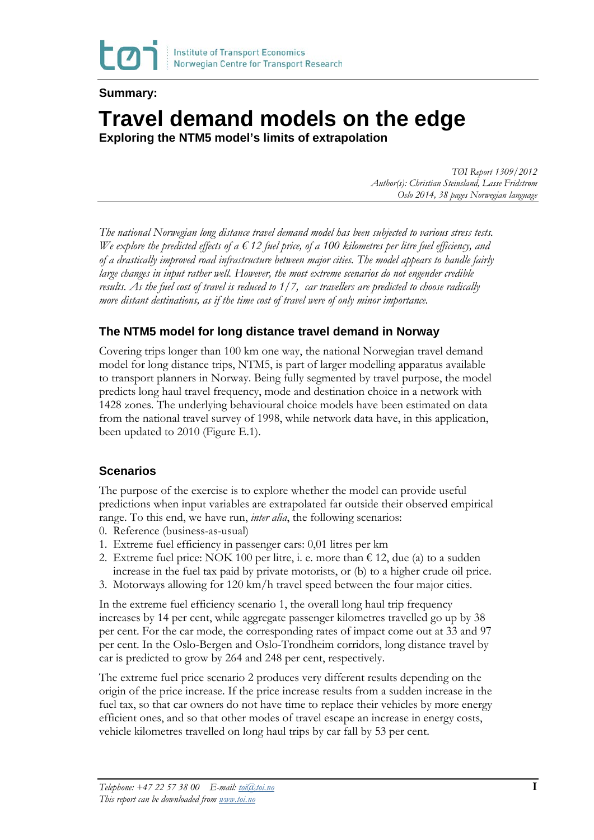

### **Summary:**

# **Travel demand models on the edge**

**Exploring the NTM5 model's limits of extrapolation** 

*TØI Report 1309/2012 Author(s): Christian Steinsland, Lasse Fridstrøm Oslo 2014, 38 pages Norwegian language*

*The national Norwegian long distance travel demand model has been subjected to various stress tests. We explore the predicted effects of a € 12 fuel price, of a 100 kilometres per litre fuel efficiency, and of a drastically improved road infrastructure between major cities. The model appears to handle fairly large changes in input rather well. However, the most extreme scenarios do not engender credible results. As the fuel cost of travel is reduced to 1/7, car travellers are predicted to choose radically more distant destinations, as if the time cost of travel were of only minor importance.*

## **The NTM5 model for long distance travel demand in Norway**

Covering trips longer than 100 km one way, the national Norwegian travel demand model for long distance trips, NTM5, is part of larger modelling apparatus available to transport planners in Norway. Being fully segmented by travel purpose, the model predicts long haul travel frequency, mode and destination choice in a network with 1428 zones. The underlying behavioural choice models have been estimated on data from the national travel survey of 1998, while network data have, in this application, been updated to 2010 (Figure E.1).

## **Scenarios**

The purpose of the exercise is to explore whether the model can provide useful predictions when input variables are extrapolated far outside their observed empirical range. To this end, we have run, *inter alia*, the following scenarios:

- 0. Reference (business-as-usual)
- 1. Extreme fuel efficiency in passenger cars: 0,01 litres per km
- 2. Extreme fuel price: NOK 100 per litre, i. e. more than  $\epsilon$  12, due (a) to a sudden increase in the fuel tax paid by private motorists, or (b) to a higher crude oil price.
- 3. Motorways allowing for 120 km/h travel speed between the four major cities.

In the extreme fuel efficiency scenario 1, the overall long haul trip frequency increases by 14 per cent, while aggregate passenger kilometres travelled go up by 38 per cent. For the car mode, the corresponding rates of impact come out at 33 and 97 per cent. In the Oslo-Bergen and Oslo-Trondheim corridors, long distance travel by car is predicted to grow by 264 and 248 per cent, respectively.

The extreme fuel price scenario 2 produces very different results depending on the origin of the price increase. If the price increase results from a sudden increase in the fuel tax, so that car owners do not have time to replace their vehicles by more energy efficient ones, and so that other modes of travel escape an increase in energy costs, vehicle kilometres travelled on long haul trips by car fall by 53 per cent.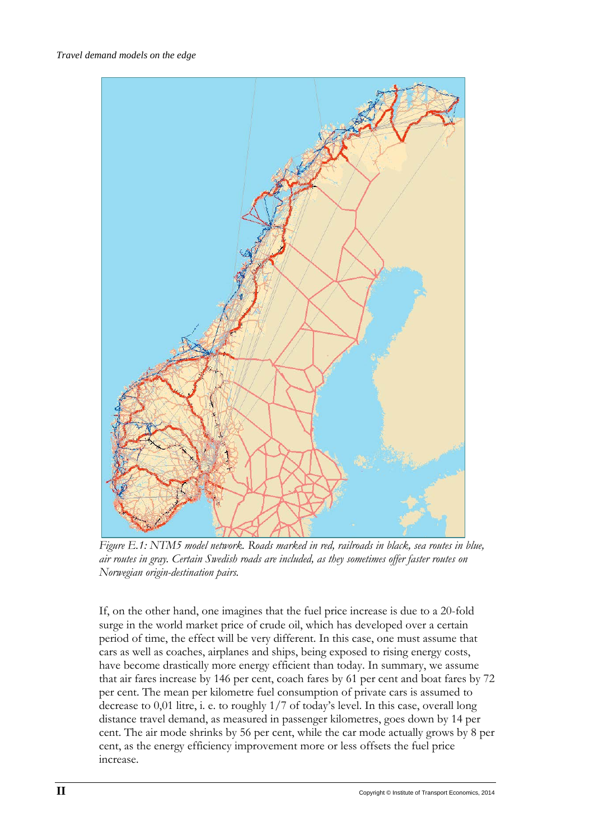

*Figure E.1: NTM5 model network. Roads marked in red, railroads in black, sea routes in blue, air routes in gray. Certain Swedish roads are included, as they sometimes offer faster routes on Norwegian origin-destination pairs.* 

If, on the other hand, one imagines that the fuel price increase is due to a 20-fold surge in the world market price of crude oil, which has developed over a certain period of time, the effect will be very different. In this case, one must assume that cars as well as coaches, airplanes and ships, being exposed to rising energy costs, have become drastically more energy efficient than today. In summary, we assume that air fares increase by 146 per cent, coach fares by 61 per cent and boat fares by 72 per cent. The mean per kilometre fuel consumption of private cars is assumed to decrease to 0,01 litre, i. e. to roughly 1/7 of today's level. In this case, overall long distance travel demand, as measured in passenger kilometres, goes down by 14 per cent. The air mode shrinks by 56 per cent, while the car mode actually grows by 8 per cent, as the energy efficiency improvement more or less offsets the fuel price increase.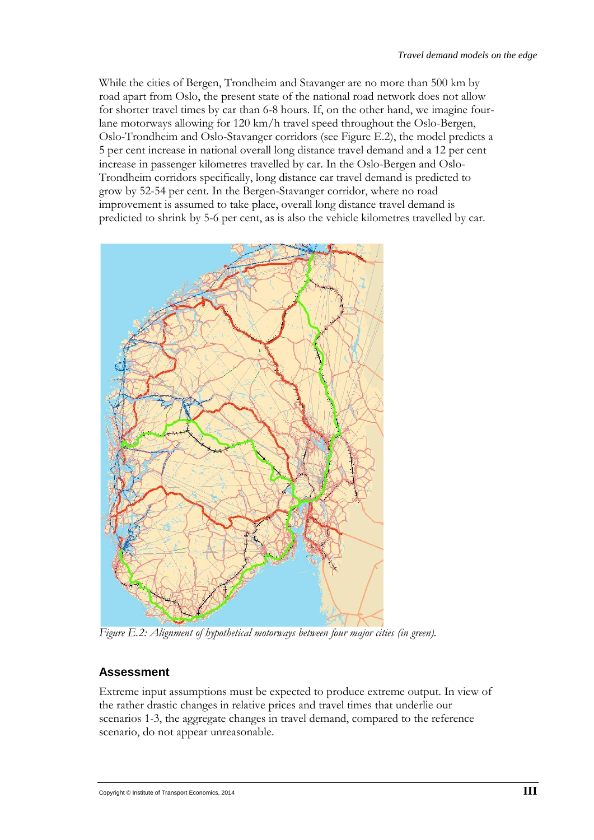While the cities of Bergen, Trondheim and Stavanger are no more than 500 km by road apart from Oslo, the present state of the national road network does not allow for shorter travel times by car than 6-8 hours. If, on the other hand, we imagine fourlane motorways allowing for 120 km/h travel speed throughout the Oslo-Bergen, Oslo-Trondheim and Oslo-Stavanger corridors (see Figure E.2), the model predicts a 5 per cent increase in national overall long distance travel demand and a 12 per cent increase in passenger kilometres travelled by car. In the Oslo-Bergen and Oslo-Trondheim corridors specifically, long distance car travel demand is predicted to grow by 52-54 per cent. In the Bergen-Stavanger corridor, where no road improvement is assumed to take place, overall long distance travel demand is predicted to shrink by 5-6 per cent, as is also the vehicle kilometres travelled by car.



*Figure E.2: Alignment of hypothetical motorways between four major cities (in green).* 

#### **Assessment**

Extreme input assumptions must be expected to produce extreme output. In view of the rather drastic changes in relative prices and travel times that underlie our scenarios 1-3, the aggregate changes in travel demand, compared to the reference scenario, do not appear unreasonable.